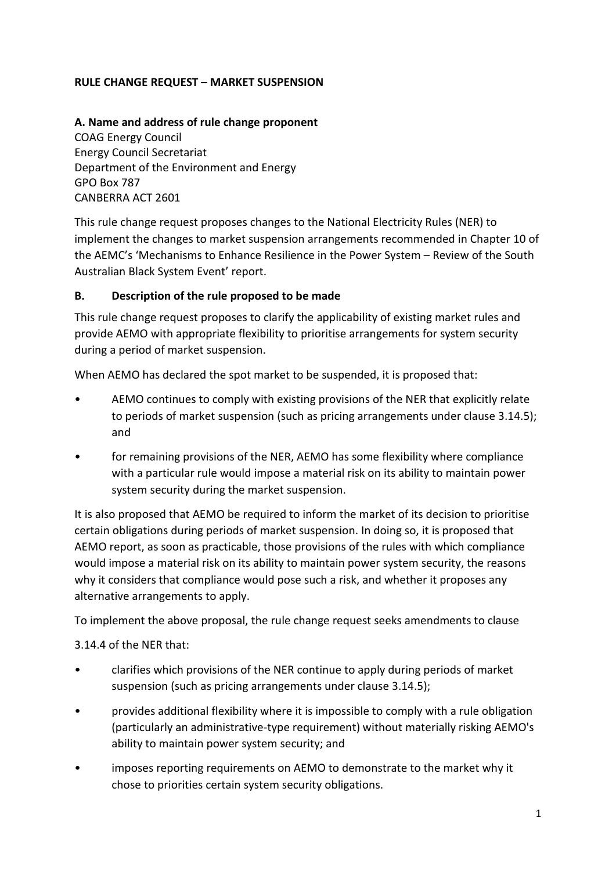## **RULE CHANGE REQUEST – MARKET SUSPENSION**

#### **A. Name and address of rule change proponent**

COAG Energy Council Energy Council Secretariat Department of the Environment and Energy GPO Box 787 CANBERRA ACT 2601

This rule change request proposes changes to the National Electricity Rules (NER) to implement the changes to market suspension arrangements recommended in Chapter 10 of the AEMC's 'Mechanisms to Enhance Resilience in the Power System – Review of the South Australian Black System Event' report.

#### **B. Description of the rule proposed to be made**

This rule change request proposes to clarify the applicability of existing market rules and provide AEMO with appropriate flexibility to prioritise arrangements for system security during a period of market suspension.

When AEMO has declared the spot market to be suspended, it is proposed that:

- AEMO continues to comply with existing provisions of the NER that explicitly relate to periods of market suspension (such as pricing arrangements under clause 3.14.5); and
- for remaining provisions of the NER, AEMO has some flexibility where compliance with a particular rule would impose a material risk on its ability to maintain power system security during the market suspension.

It is also proposed that AEMO be required to inform the market of its decision to prioritise certain obligations during periods of market suspension. In doing so, it is proposed that AEMO report, as soon as practicable, those provisions of the rules with which compliance would impose a material risk on its ability to maintain power system security, the reasons why it considers that compliance would pose such a risk, and whether it proposes any alternative arrangements to apply.

To implement the above proposal, the rule change request seeks amendments to clause

3.14.4 of the NER that:

- clarifies which provisions of the NER continue to apply during periods of market suspension (such as pricing arrangements under clause 3.14.5);
- provides additional flexibility where it is impossible to comply with a rule obligation (particularly an administrative-type requirement) without materially risking AEMO's ability to maintain power system security; and
- imposes reporting requirements on AEMO to demonstrate to the market why it chose to priorities certain system security obligations.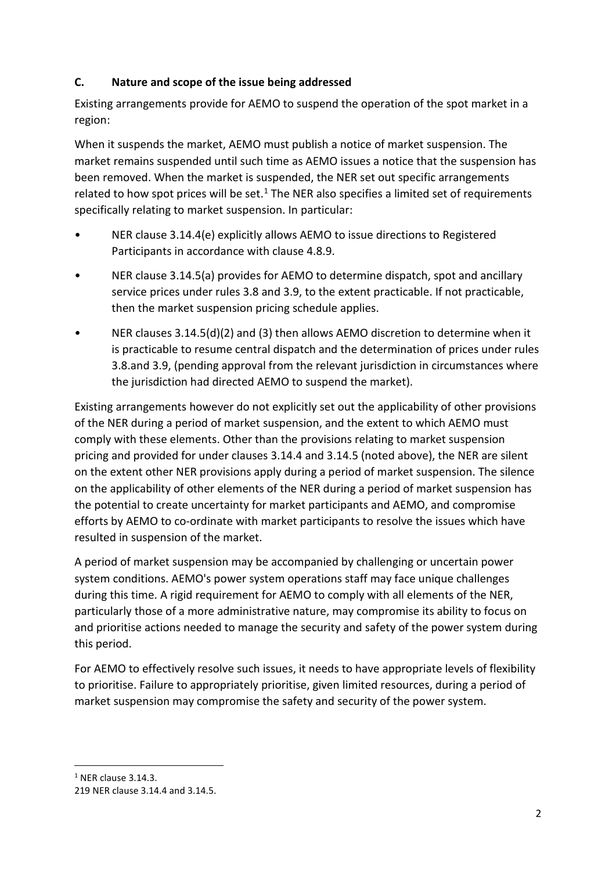## **C. Nature and scope of the issue being addressed**

Existing arrangements provide for AEMO to suspend the operation of the spot market in a region:

When it suspends the market, AEMO must publish a notice of market suspension. The market remains suspended until such time as AEMO issues a notice that the suspension has been removed. When the market is suspended, the NER set out specific arrangements related to how spot prices will be set. $<sup>1</sup>$  $<sup>1</sup>$  $<sup>1</sup>$  The NER also specifies a limited set of requirements</sup> specifically relating to market suspension. In particular:

- NER clause 3.14.4(e) explicitly allows AEMO to issue directions to Registered Participants in accordance with clause 4.8.9.
- NER clause 3.14.5(a) provides for AEMO to determine dispatch, spot and ancillary service prices under rules 3.8 and 3.9, to the extent practicable. If not practicable, then the market suspension pricing schedule applies.
- NER clauses 3.14.5(d)(2) and (3) then allows AEMO discretion to determine when it is practicable to resume central dispatch and the determination of prices under rules 3.8.and 3.9, (pending approval from the relevant jurisdiction in circumstances where the jurisdiction had directed AEMO to suspend the market).

Existing arrangements however do not explicitly set out the applicability of other provisions of the NER during a period of market suspension, and the extent to which AEMO must comply with these elements. Other than the provisions relating to market suspension pricing and provided for under clauses 3.14.4 and 3.14.5 (noted above), the NER are silent on the extent other NER provisions apply during a period of market suspension. The silence on the applicability of other elements of the NER during a period of market suspension has the potential to create uncertainty for market participants and AEMO, and compromise efforts by AEMO to co-ordinate with market participants to resolve the issues which have resulted in suspension of the market.

A period of market suspension may be accompanied by challenging or uncertain power system conditions. AEMO's power system operations staff may face unique challenges during this time. A rigid requirement for AEMO to comply with all elements of the NER, particularly those of a more administrative nature, may compromise its ability to focus on and prioritise actions needed to manage the security and safety of the power system during this period.

For AEMO to effectively resolve such issues, it needs to have appropriate levels of flexibility to prioritise. Failure to appropriately prioritise, given limited resources, during a period of market suspension may compromise the safety and security of the power system.

<span id="page-1-0"></span> $1$  NER clause 3.14.3.

<sup>219</sup> NER clause 3.14.4 and 3.14.5.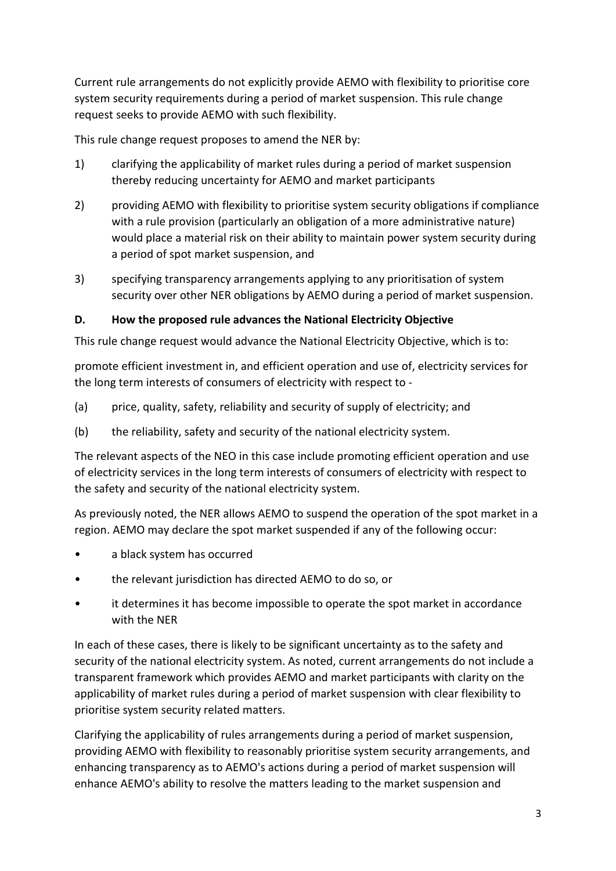Current rule arrangements do not explicitly provide AEMO with flexibility to prioritise core system security requirements during a period of market suspension. This rule change request seeks to provide AEMO with such flexibility.

This rule change request proposes to amend the NER by:

- 1) clarifying the applicability of market rules during a period of market suspension thereby reducing uncertainty for AEMO and market participants
- 2) providing AEMO with flexibility to prioritise system security obligations if compliance with a rule provision (particularly an obligation of a more administrative nature) would place a material risk on their ability to maintain power system security during a period of spot market suspension, and
- 3) specifying transparency arrangements applying to any prioritisation of system security over other NER obligations by AEMO during a period of market suspension.

## **D. How the proposed rule advances the National Electricity Objective**

This rule change request would advance the National Electricity Objective, which is to:

promote efficient investment in, and efficient operation and use of, electricity services for the long term interests of consumers of electricity with respect to -

- (a) price, quality, safety, reliability and security of supply of electricity; and
- (b) the reliability, safety and security of the national electricity system.

The relevant aspects of the NEO in this case include promoting efficient operation and use of electricity services in the long term interests of consumers of electricity with respect to the safety and security of the national electricity system.

As previously noted, the NER allows AEMO to suspend the operation of the spot market in a region. AEMO may declare the spot market suspended if any of the following occur:

- a black system has occurred
- the relevant jurisdiction has directed AEMO to do so, or
- it determines it has become impossible to operate the spot market in accordance with the NER

In each of these cases, there is likely to be significant uncertainty as to the safety and security of the national electricity system. As noted, current arrangements do not include a transparent framework which provides AEMO and market participants with clarity on the applicability of market rules during a period of market suspension with clear flexibility to prioritise system security related matters.

Clarifying the applicability of rules arrangements during a period of market suspension, providing AEMO with flexibility to reasonably prioritise system security arrangements, and enhancing transparency as to AEMO's actions during a period of market suspension will enhance AEMO's ability to resolve the matters leading to the market suspension and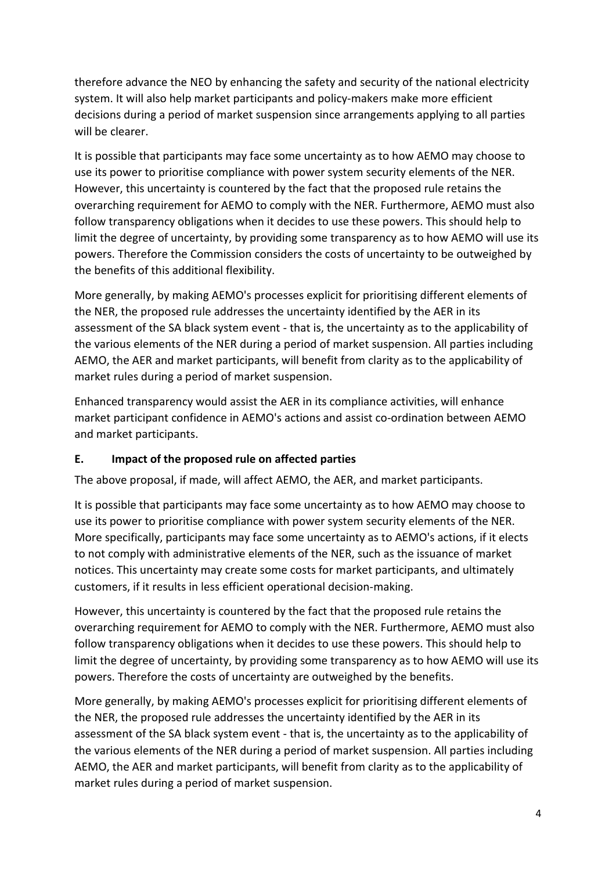therefore advance the NEO by enhancing the safety and security of the national electricity system. It will also help market participants and policy-makers make more efficient decisions during a period of market suspension since arrangements applying to all parties will be clearer.

It is possible that participants may face some uncertainty as to how AEMO may choose to use its power to prioritise compliance with power system security elements of the NER. However, this uncertainty is countered by the fact that the proposed rule retains the overarching requirement for AEMO to comply with the NER. Furthermore, AEMO must also follow transparency obligations when it decides to use these powers. This should help to limit the degree of uncertainty, by providing some transparency as to how AEMO will use its powers. Therefore the Commission considers the costs of uncertainty to be outweighed by the benefits of this additional flexibility.

More generally, by making AEMO's processes explicit for prioritising different elements of the NER, the proposed rule addresses the uncertainty identified by the AER in its assessment of the SA black system event - that is, the uncertainty as to the applicability of the various elements of the NER during a period of market suspension. All parties including AEMO, the AER and market participants, will benefit from clarity as to the applicability of market rules during a period of market suspension.

Enhanced transparency would assist the AER in its compliance activities, will enhance market participant confidence in AEMO's actions and assist co-ordination between AEMO and market participants.

# **E. Impact of the proposed rule on affected parties**

The above proposal, if made, will affect AEMO, the AER, and market participants.

It is possible that participants may face some uncertainty as to how AEMO may choose to use its power to prioritise compliance with power system security elements of the NER. More specifically, participants may face some uncertainty as to AEMO's actions, if it elects to not comply with administrative elements of the NER, such as the issuance of market notices. This uncertainty may create some costs for market participants, and ultimately customers, if it results in less efficient operational decision-making.

However, this uncertainty is countered by the fact that the proposed rule retains the overarching requirement for AEMO to comply with the NER. Furthermore, AEMO must also follow transparency obligations when it decides to use these powers. This should help to limit the degree of uncertainty, by providing some transparency as to how AEMO will use its powers. Therefore the costs of uncertainty are outweighed by the benefits.

More generally, by making AEMO's processes explicit for prioritising different elements of the NER, the proposed rule addresses the uncertainty identified by the AER in its assessment of the SA black system event - that is, the uncertainty as to the applicability of the various elements of the NER during a period of market suspension. All parties including AEMO, the AER and market participants, will benefit from clarity as to the applicability of market rules during a period of market suspension.